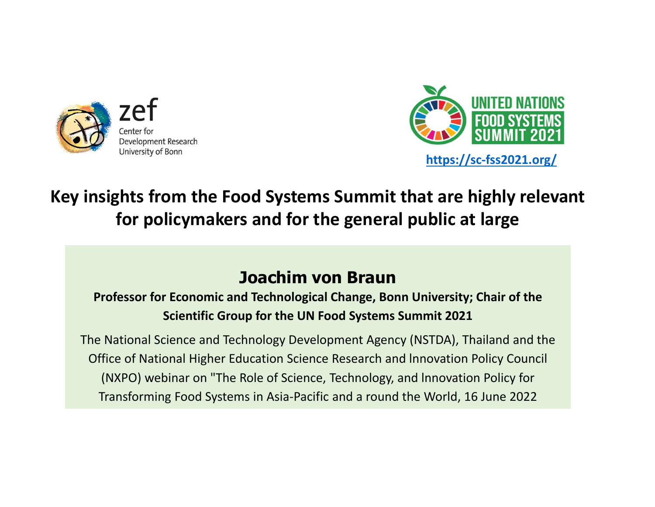



#### **Key insights from the Food Systems Summit that are highly relevant for policymakers and for the general public at large**

#### **Joachim von Braun**

**Professor for Economic and Technological Change, Bonn University; Chair of the Scientific Group for the UN Food Systems Summit 2021** 

The National Science and Technology Development Agency (NSTDA), Thailand and the Office of National Higher Education Science Research and lnnovation Policy Council (NXPO) webinar on "The Role of Science, Technology, and lnnovation Policy for Transforming Food Systems in Asia‐Pacific and a round the World, 16 June 2022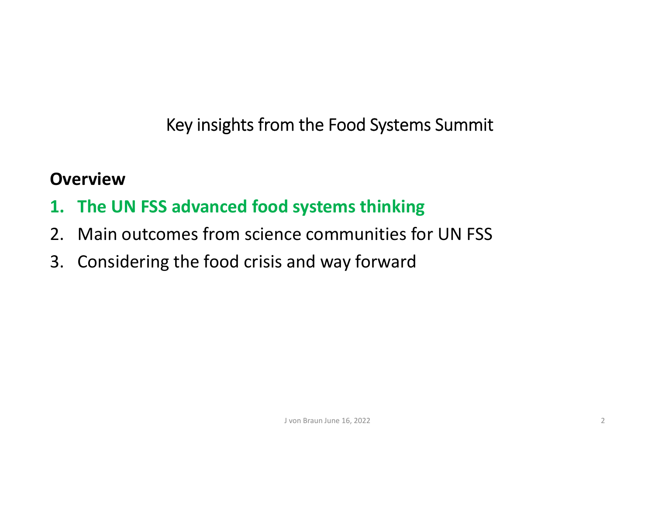#### **Overview**

- **1. The UN FSS advanced food systems thinking**
- 2. Main outcomes from science communities for UN FSS
- 3. Considering the food crisis and way forward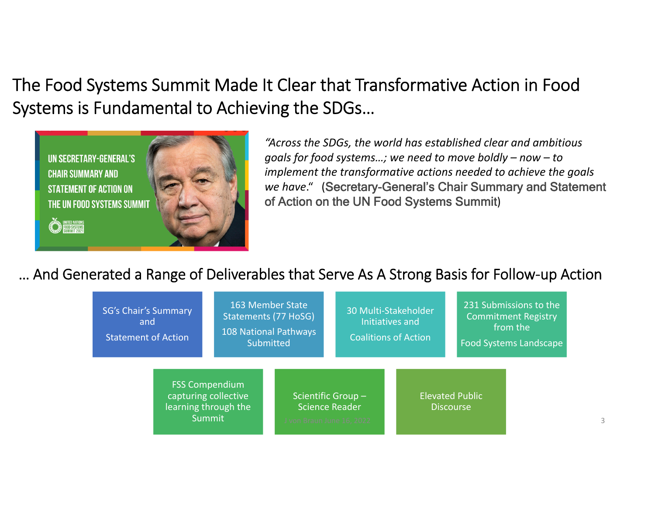The Food Systems Summit Made It Clear that Transformative Action in Food Systems is Fundamental to Achieving the SDGs…



*"Across the SDGs, the world has established clear and ambitious goals for food systems…; we need to move boldly – now – to implement the transformative actions needed to achieve the goals we have*." (Secretary-General's Chair Summary and Statement of Action on the UN Food Systems Summit)

… And Generated a Range of Deliverables that Serve As A Strong Basis for Follow‐up Action

| <b>SG's Chair's Summary</b><br>and<br><b>Statement of Action</b>                |  | 163 Member State<br>Statements (77 HoSG)<br>108 National Pathways<br>Submitted |                                                                         |  | 30 Multi-Stakeholder<br>Initiatives and<br><b>Coalitions of Action</b> |                                            |  | 231 Submissions to the<br><b>Commitment Registry</b><br>from the<br><b>Food Systems Landscape</b> |  |   |
|---------------------------------------------------------------------------------|--|--------------------------------------------------------------------------------|-------------------------------------------------------------------------|--|------------------------------------------------------------------------|--------------------------------------------|--|---------------------------------------------------------------------------------------------------|--|---|
| <b>FSS Compendium</b><br>capturing collective<br>learning through the<br>Summit |  |                                                                                | Scientific Group-<br><b>Science Reader</b><br>J von Braun June 16, 2022 |  |                                                                        | <b>Elevated Public</b><br><b>Discourse</b> |  |                                                                                                   |  | 3 |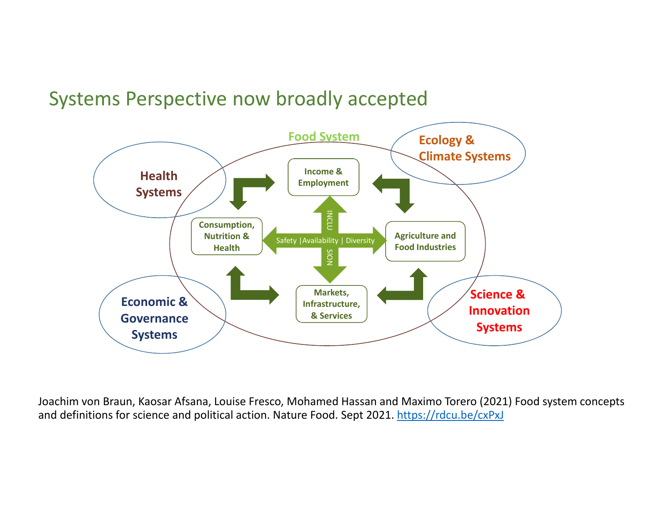### Systems Perspective now broadly accepted



Joachim von Braun, Kaosar Afsana, Louise Fresco, Mohamed Hassan and Maximo Torero (2021) Food system concepts and definitions for science and political action. Nature Food. Sept 2021. https://rdcu.be/cxPxJ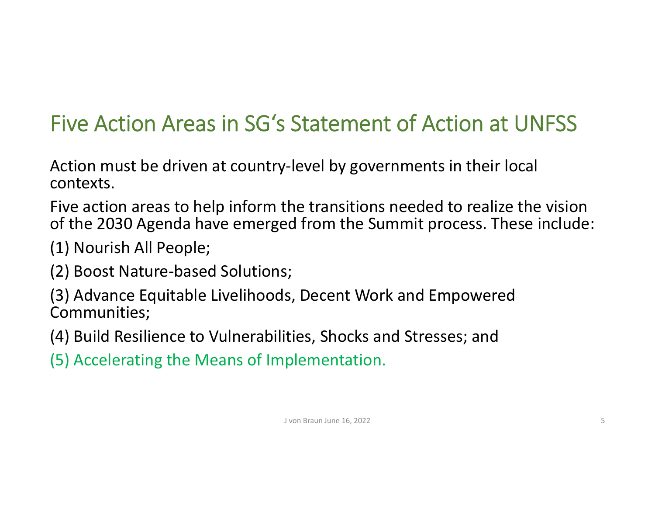## Five Action Areas in SG's Statement of Action at UNFSS

Action must be driven at country‐level by governments in their local contexts.

Five action areas to help inform the transitions needed to realize the vision of the 2030 Agenda have emerged from the Summit process. These include:

(1) Nourish All People;

(2) Boost Nature‐based Solutions;

(3) Advance Equitable Livelihoods, Decent Work and Empowered Communities;

(4) Build Resilience to Vulnerabilities, Shocks and Stresses; and

(5) Accelerating the Means of Implementation.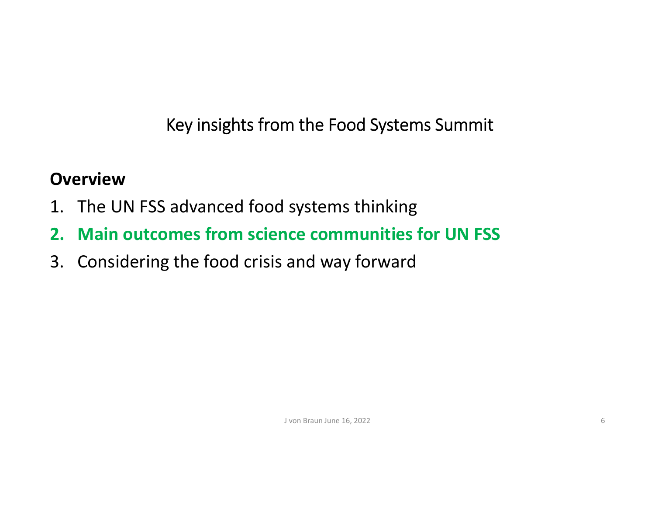#### **Overview**

- 1. The UN FSS advanced food systems thinking
- **2. Main outcomes from science communities for UN FSS**
- 3. Considering the food crisis and way forward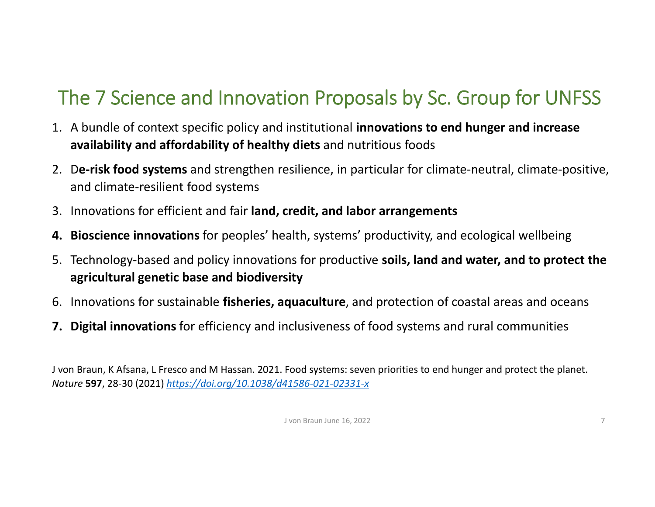## The 7 Science and Innovation Proposals by Sc. Group for UNFSS

- 1. A bundle of context specific policy and institutional **innovations to end hunger and increase availability and affordability of healthy diets** and nutritious foods
- 2. D**e‐risk food systems** and strengthen resilience, in particular for climate‐neutral, climate‐positive, and climate‐resilient food systems
- 3. Innovations for efficient and fair **land, credit, and labor arrangements**
- **4. Bioscience innovations** for peoples' health, systems' productivity, and ecological wellbeing
- 5. Technology‐based and policy innovations for productive **soils, land and water, and to protect the agricultural genetic base and biodiversity**
- 6. Innovations for sustainable **fisheries, aquaculture**, and protection of coastal areas and oceans
- **7. Digital innovations** for efficiency and inclusiveness of food systems and rural communities

J von Braun, K Afsana, L Fresco and M Hassan. 2021. Food systems: seven priorities to end hunger and protect the planet. *Nature* **597**, 28‐30 (2021) *https://doi.org/10.1038/d41586‐021‐02331‐x*

J von Braun June 16, 2022 7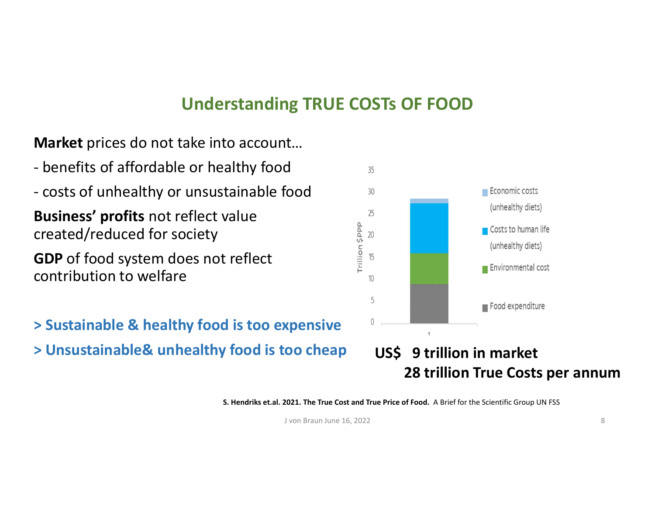#### **Understanding TRUE COSTs OF FOOD**

**Market** prices do not take into account…

- ‐ benefits of affordable or healthy food
- ‐ costs of unhealthy or unsustainable food

**Business' profits** not reflect value created/reduced for society

**GDP** of food system does not reflect contribution to welfare

- **> Sustainable & healthy food is too expensive**
- **> Unsustainable& unhealthy food is too cheap**



#### **US\$ 9 trillion in market 28 trillion True Costs per annum**

**S. Hendriks et.al. 2021. The True Cost and True Price of Food.**  A Brief for the Scientific Group UN FSS

J von Braun June 16, 2022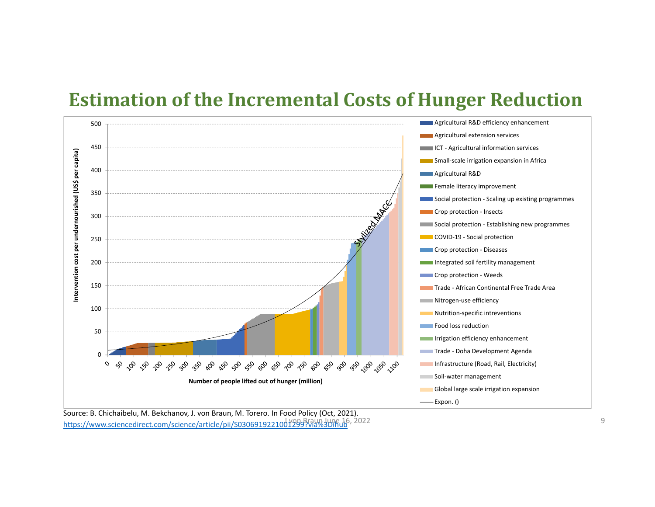#### **Estimation of the Incremental Costs of Hunger Reduction**



Source: B. Chichaibelu, M. Bekchanov, J. von Braun, M. Torero. In Food Policy (Oct, 2021). https://www.sciencedirect.com/science/article/pii/S03069192210012999?via%3Dihub, 2022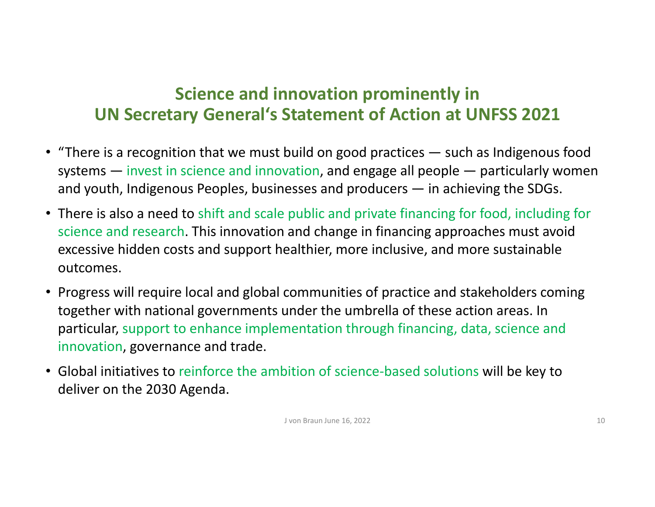#### **Science and innovation prominently in UN Secretary General's Statement of Action at UNFSS 2021**

- "There is a recognition that we must build on good practices such as Indigenous food systems — invest in science and innovation, and engage all people — particularly women and youth, Indigenous Peoples, businesses and producers — in achieving the SDGs.
- There is also a need to shift and scale public and private financing for food, including for science and research. This innovation and change in financing approaches must avoid excessive hidden costs and support healthier, more inclusive, and more sustainable outcomes.
- Progress will require local and global communities of practice and stakeholders coming together with national governments under the umbrella of these action areas. In particular, support to enhance implementation through financing, data, science and innovation, governance and trade.
- Global initiatives to reinforce the ambition of science-based solutions will be key to deliver on the 2030 Agenda.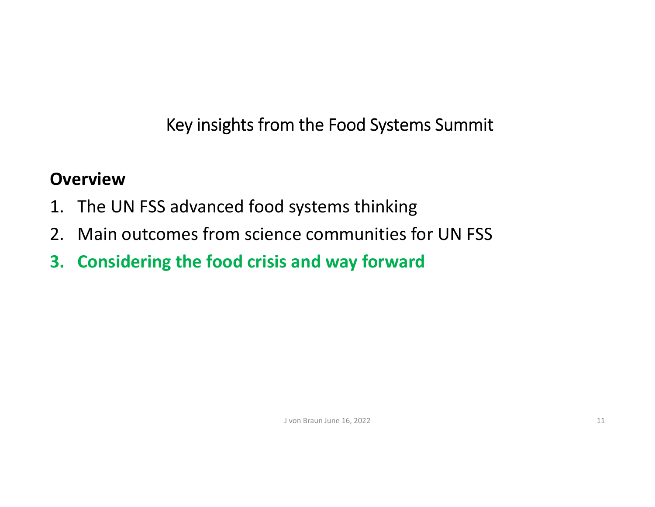#### **Overview**

- 1. The UN FSS advanced food systems thinking
- 2. Main outcomes from science communities for UN FSS
- **3. Considering the food crisis and way forward**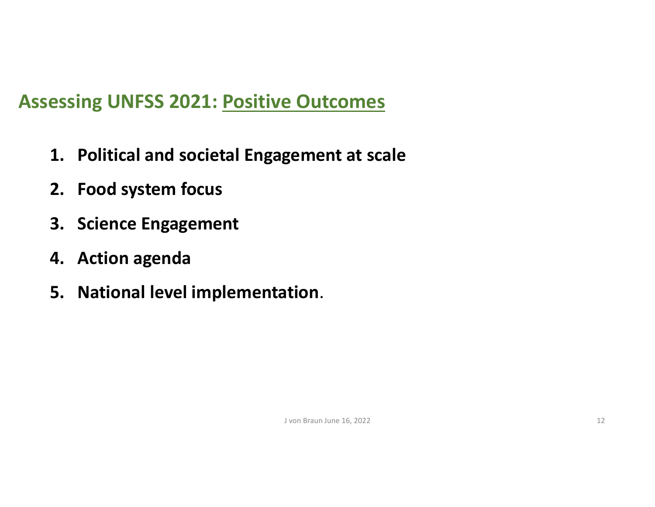### **Assessing UNFSS 2021: Positive Outcomes**

- **1. Political and societal Engagement at scale**
- **2. Food system focus**
- **3. Science Engagement**
- **4. Action agenda**
- **5. National level implementation**.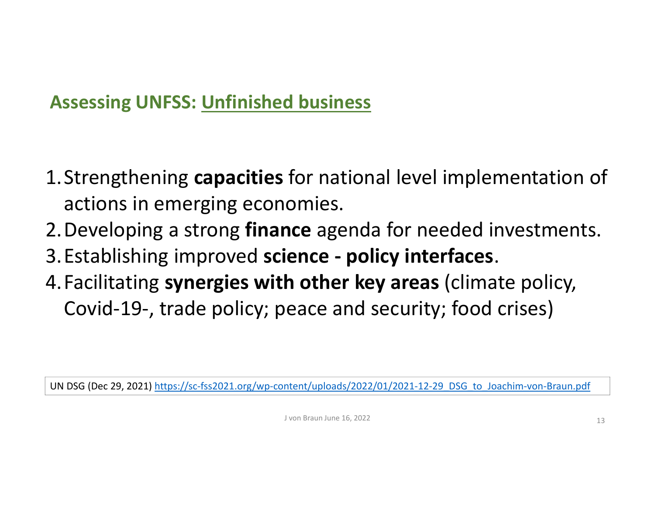### **Assessing UNFSS: Unfinished business**

- 1.Strengthening **capacities** for national level implementation of actions in emerging economies.
- 2.Developing a strong **finance** agenda for needed investments.
- 3.Establishing improved **science ‐ policy interfaces**.
- 4.Facilitating **synergies with other key areas** (climate policy, Covid‐19‐, trade policy; peace and security; food crises)

UN DSG (Dec 29, 2021) https://sc‐fss2021.org/wp‐content/uploads/2022/01/2021‐12‐29\_DSG\_to\_Joachim‐von‐Braun.pdf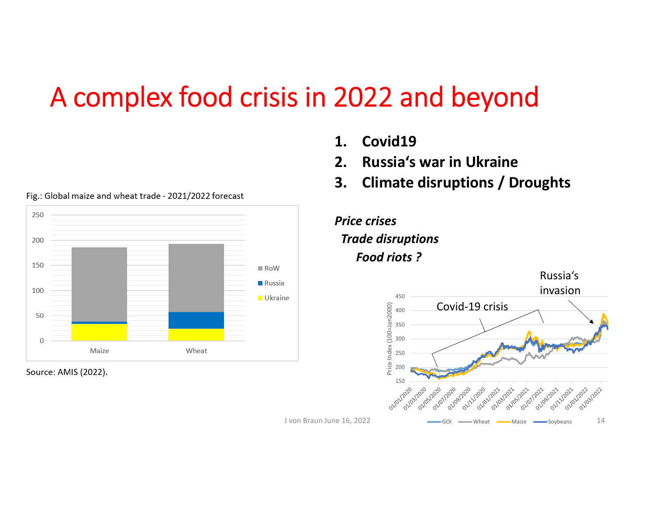# A complex food crisis in 2022 and beyond



Fig.: Global maize and wheat trade - 2021/2022 forecast

Source: AMIS (2022).

- **1. Covid19**
- **2. Russia's war in Ukraine**
- **3. Climate disruptions / Droughts**



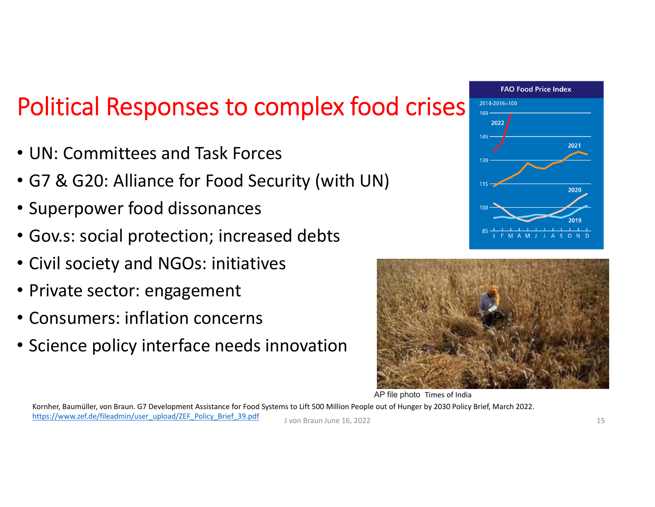# Political Responses to complex food crises

- UN: Committees and Task Forces
- G7 & G20: Alliance for Food Security (with UN)
- Superpower food dissonances
- Gov.s: social protection; increased debts
- Civil society and NGOs: initiatives
- Private sector: engagement
- Consumers: inflation concerns
- Science policy interface needs innovation





AP file photo Times of India

Kornher, Baumüller, von Braun. G7 Development Assistance for Food Systems to Lift 500 Million People out of Hunger by 2030 Policy Brief, March 2022.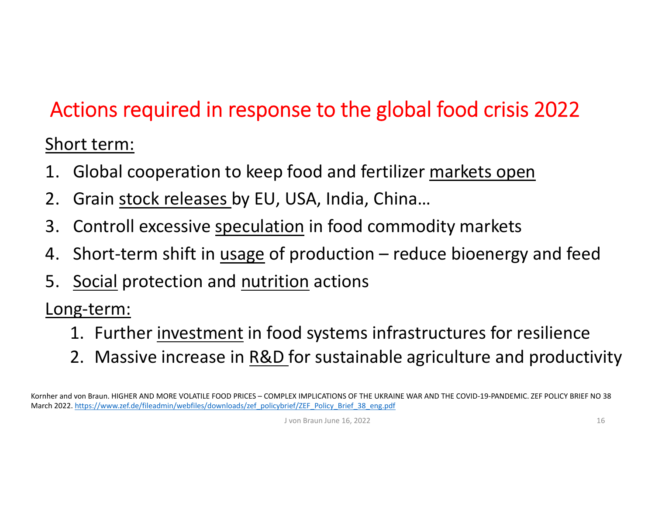## Actions required in response to the global food crisis 2022

#### Short term:

- 1. Global cooperation to keep food and fertilizer markets open
- 2. Grain stock releases by EU, USA, India, China…
- 3. Controll excessive speculation in food commodity markets
- 4. Short-term shift in <u>usage</u> of production reduce bioenergy and feed
- 5. Social protection and nutrition actions

Long-term:

- 1. Further investment in food systems infrastructures for resilience
- 2. Massive increase in R&D for sustainable agriculture and productivity

Kornher and von Braun. HIGHER AND MORE VOLATILE FOOD PRICES – COMPLEX IMPLICATIONS OF THE UKRAINE WAR AND THE COVID‐19‐PANDEMIC. ZEF POLICY BRIEF NO 38 March 2022. https://www.zef.de/fileadmin/webfiles/downloads/zef\_policybrief/ZEF\_Policy\_Brief\_38\_eng.pdf